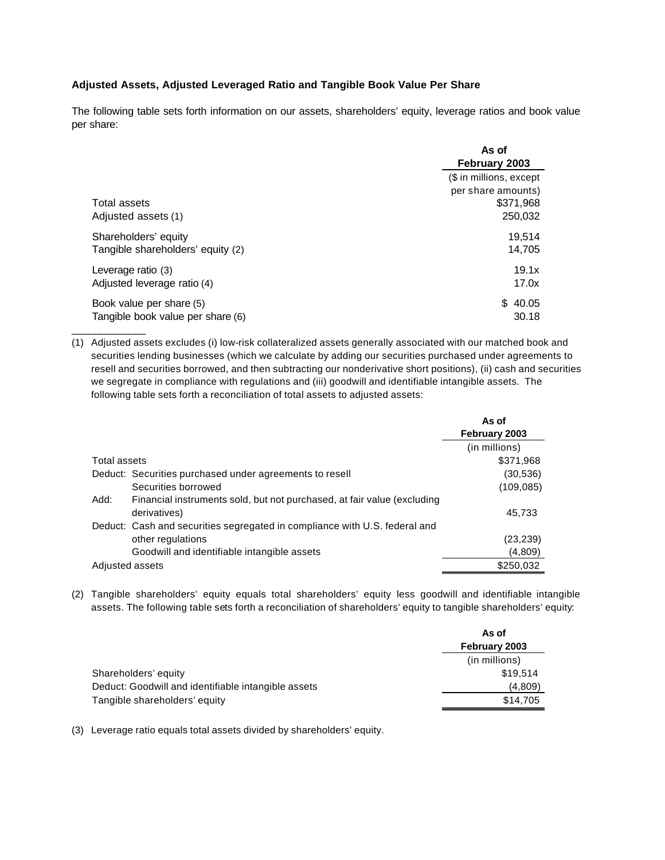## **Adjusted Assets, Adjusted Leveraged Ratio and Tangible Book Value Per Share**

The following table sets forth information on our assets, shareholders' equity, leverage ratios and book value per share:

|                                   | As of<br>February 2003                        |
|-----------------------------------|-----------------------------------------------|
|                                   | (\$ in millions, except<br>per share amounts) |
| Total assets                      | \$371,968                                     |
| Adjusted assets (1)               | 250,032                                       |
| Shareholders' equity              | 19,514                                        |
| Tangible shareholders' equity (2) | 14,705                                        |
| Leverage ratio (3)                | 19.1x                                         |
| Adjusted leverage ratio (4)       | 17.0x                                         |
| Book value per share (5)          | \$40.05                                       |
| Tangible book value per share (6) | 30.18                                         |

(1) Adjusted assets excludes (i) low-risk collateralized assets generally associated with our matched book and securities lending businesses (which we calculate by adding our securities purchased under agreements to resell and securities borrowed, and then subtracting our nonderivative short positions), (ii) cash and securities we segregate in compliance with regulations and (iii) goodwill and identifiable intangible assets. The following table sets forth a reconciliation of total assets to adjusted assets:

|                                                                                 | As of         |
|---------------------------------------------------------------------------------|---------------|
|                                                                                 | February 2003 |
|                                                                                 | (in millions) |
| Total assets                                                                    | \$371,968     |
| Deduct: Securities purchased under agreements to resell                         | (30, 536)     |
| Securities borrowed                                                             | (109, 085)    |
| Financial instruments sold, but not purchased, at fair value (excluding<br>Add: |               |
| derivatives)                                                                    | 45,733        |
| Deduct: Cash and securities segregated in compliance with U.S. federal and      |               |
| other regulations                                                               | (23, 239)     |
| Goodwill and identifiable intangible assets                                     | (4,809)       |
| Adjusted assets                                                                 | \$250,032     |

(2) Tangible shareholders' equity equals total shareholders' equity less goodwill and identifiable intangible assets. The following table sets forth a reconciliation of shareholders' equity to tangible shareholders' equity:

|                                                     | As of         |  |
|-----------------------------------------------------|---------------|--|
|                                                     | February 2003 |  |
|                                                     | (in millions) |  |
| Shareholders' equity                                | \$19.514      |  |
| Deduct: Goodwill and identifiable intangible assets | (4,809)       |  |
| Tangible shareholders' equity                       | \$14.705      |  |

(3) Leverage ratio equals total assets divided by shareholders' equity.

 $\overline{\phantom{a}}$